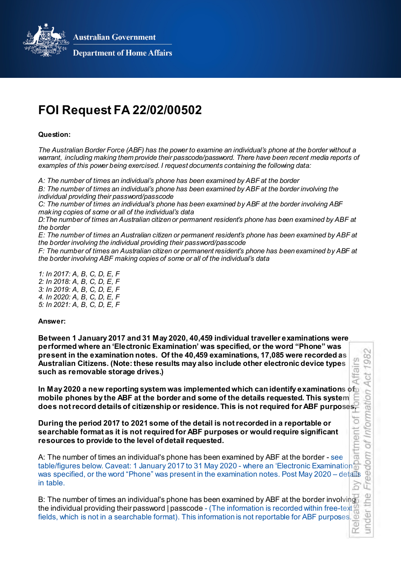**Australian Government** 



**Department of Home Affairs** 

# **FOI Request FA 22/02/00502**

## **Question:**

*The Australian Border Force (ABF) has the power to examine an individual's phone at the border without a warrant, including making them provide their passcode/password. There have been recent media reports of examples of this power being exercised. I request documents containing the following data:*

*A: The number of times an individual's phone has been examined by ABF at the border B: The number of times an individual's phone has been examined by ABF at the border involving the* 

*individual providing their password/passcode* 

*C: The number of times an individual's phone has been examined by ABF at the border involving ABF making copies of some or all of the individual's data* 

*D:The number of times an Australian citizen or permanent resident's phone has been examined by ABF at the border* 

*E: The number of times an Australian citizen or permanent resident's phone has been examined by ABF at the border involving the individual providing their password/passcode*

*F: The number of times an Australian citizen or permanent resident's phone has been examined by ABF at the border involving ABF making copies of some or all of the individual's data* 

*1: In 2017: A, B, C, D, E, F 2: In 2018: A, B, C, D, E, F 3: In 2019: A, B, C, D, E, F 4. In 2020: A, B, C, D, E, F 5: In 2021: A, B, C, D, E, F*

### **Answer:**

**Between 1 January 2017 and 31 May 2020, 40,459 individual traveller examinations were performed where an 'Electronic Examination' was specified, or the word "Phone" was present in the examination notes. Of the 40,459 examinations, 17,085 were recorded as Australian Citizens. (Note: these results may also include other electronic device types such as removable storage drives.)**

In May 2020 a new reporting system was implemented which can identify examinations of **mobile phones by the ABF at the border and some of the details requested. This system does not record details of citizenship or residence. This is not required for ABF purposes.**

**During the period 2017 to 2021 some of the detail is not recorded in a reportable or searchable format as it is not required for ABF purposes or would require significant resources to provide to the level of detail requested.**

artment A: The number of times an individual's phone has been examined by ABF at the border - see table/figures below. Caveat: 1 January 2017 to 31 May 2020 - where an 'Electronic Examination' was specified, or the word "Phone" was present in the examination notes. Post May 2020 – details  $\frac{90}{60}$  in table. in table. **by** 

under the Freedom of Information Act 1982

of

dom O

the

 $\overline{a}$ und

œ

nformation ā

čõ

d Affi Ā

slle Ő,

Released by Department of Home Affairs B: The number of times an individual's phone has been examined by ABF at the border involving the individual providing their password | passcode - (The information is recorded within free-text  $\frac{10}{10}$ fields, which is not in a searchable format). This information is not reportable for ABF purposes.  $\omega$  $\overline{v}$